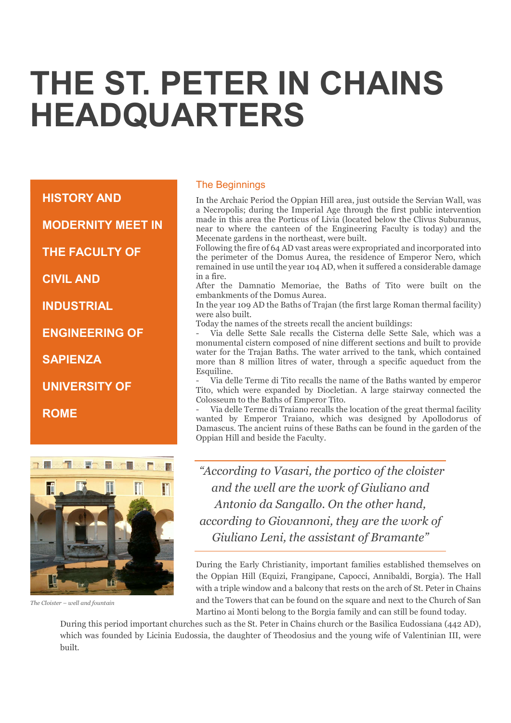# THE ST. PETER IN CHAINS HEADQUARTERS

HISTORY AND

MODERNITY MEET IN

THE FACULTY OF

CIVIL AND

**INDUSTRIAL** 

ENGINEERING OF

SAPIENZA

UNIVERSITY OF

ROME



The Cloister – well and fountain

#### The Beginnings

In the Archaic Period the Oppian Hill area, just outside the Servian Wall, was a Necropolis; during the Imperial Age through the first public intervention made in this area the Porticus of Livia (located below the Clivus Suburanus, near to where the canteen of the Engineering Faculty is today) and the Mecenate gardens in the northeast, were built.

Following the fire of 64 AD vast areas were expropriated and incorporated into the perimeter of the Domus Aurea, the residence of Emperor Nero, which remained in use until the year 104 AD, when it suffered a considerable damage in a fire.

After the Damnatio Memoriae, the Baths of Tito were built on the embankments of the Domus Aurea.

In the year 109 AD the Baths of Trajan (the first large Roman thermal facility) were also built.

Today the names of the streets recall the ancient buildings:

- Via delle Sette Sale recalls the Cisterna delle Sette Sale, which was a monumental cistern composed of nine different sections and built to provide water for the Trajan Baths. The water arrived to the tank, which contained more than 8 million litres of water, through a specific aqueduct from the Esquiline.

- Via delle Terme di Tito recalls the name of the Baths wanted by emperor Tito, which were expanded by Diocletian. A large stairway connected the Colosseum to the Baths of Emperor Tito.

- Via delle Terme di Traiano recalls the location of the great thermal facility wanted by Emperor Traiano, which was designed by Apollodorus of Damascus. The ancient ruins of these Baths can be found in the garden of the Oppian Hill and beside the Faculty.

 "According to Vasari, the portico of the cloister and the well are the work of Giuliano and Antonio da Sangallo. On the other hand, according to Giovannoni, they are the work of Giuliano Leni, the assistant of Bramante"

During the Early Christianity, important families established themselves on the Oppian Hill (Equizi, Frangipane, Capocci, Annibaldi, Borgia). The Hall with a triple window and a balcony that rests on the arch of St. Peter in Chains and the Towers that can be found on the square and next to the Church of San Martino ai Monti belong to the Borgia family and can still be found today.

During this period important churches such as the St. Peter in Chains church or the Basilica Eudossiana (442 AD), which was founded by Licinia Eudossia, the daughter of Theodosius and the young wife of Valentinian III, were built.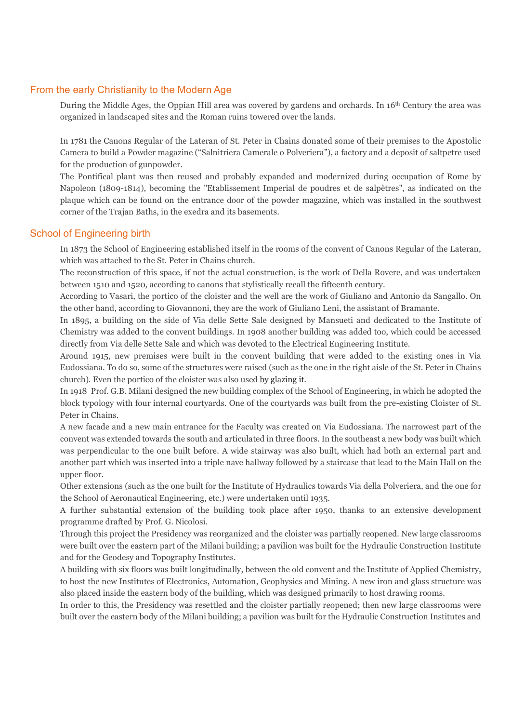## From the early Christianity to the Modern Age

During the Middle Ages, the Oppian Hill area was covered by gardens and orchards. In 16<sup>th</sup> Century the area was organized in landscaped sites and the Roman ruins towered over the lands.

In 1781 the Canons Regular of the Lateran of St. Peter in Chains donated some of their premises to the Apostolic Camera to build a Powder magazine ("Salnitriera Camerale o Polveriera"), a factory and a deposit of saltpetre used for the production of gunpowder.

The Pontifical plant was then reused and probably expanded and modernized during occupation of Rome by Napoleon (1809-1814), becoming the "Etablissement Imperial de poudres et de salpètres", as indicated on the plaque which can be found on the entrance door of the powder magazine, which was installed in the southwest corner of the Trajan Baths, in the exedra and its basements.

#### School of Engineering birth

In 1873 the School of Engineering established itself in the rooms of the convent of Canons Regular of the Lateran, which was attached to the St. Peter in Chains church.

The reconstruction of this space, if not the actual construction, is the work of Della Rovere, and was undertaken between 1510 and 1520, according to canons that stylistically recall the fifteenth century.

According to Vasari, the portico of the cloister and the well are the work of Giuliano and Antonio da Sangallo. On the other hand, according to Giovannoni, they are the work of Giuliano Leni, the assistant of Bramante.

In 1895, a building on the side of Via delle Sette Sale designed by Mansueti and dedicated to the Institute of Chemistry was added to the convent buildings. In 1908 another building was added too, which could be accessed directly from Via delle Sette Sale and which was devoted to the Electrical Engineering Institute.

Around 1915, new premises were built in the convent building that were added to the existing ones in Via Eudossiana. To do so, some of the structures were raised (such as the one in the right aisle of the St. Peter in Chains church). Even the portico of the cloister was also used by glazing it.

In 1918 Prof. G.B. Milani designed the new building complex of the School of Engineering, in which he adopted the block typology with four internal courtyards. One of the courtyards was built from the pre-existing Cloister of St. Peter in Chains.

A new facade and a new main entrance for the Faculty was created on Via Eudossiana. The narrowest part of the convent was extended towards the south and articulated in three floors. In the southeast a new body was built which was perpendicular to the one built before. A wide stairway was also built, which had both an external part and another part which was inserted into a triple nave hallway followed by a staircase that lead to the Main Hall on the upper floor.

Other extensions (such as the one built for the Institute of Hydraulics towards Via della Polveriera, and the one for the School of Aeronautical Engineering, etc.) were undertaken until 1935.

A further substantial extension of the building took place after 1950, thanks to an extensive development programme drafted by Prof. G. Nicolosi.

Through this project the Presidency was reorganized and the cloister was partially reopened. New large classrooms were built over the eastern part of the Milani building; a pavilion was built for the Hydraulic Construction Institute and for the Geodesy and Topography Institutes.

A building with six floors was built longitudinally, between the old convent and the Institute of Applied Chemistry, to host the new Institutes of Electronics, Automation, Geophysics and Mining. A new iron and glass structure was also placed inside the eastern body of the building, which was designed primarily to host drawing rooms.

In order to this, the Presidency was resettled and the cloister partially reopened; then new large classrooms were built over the eastern body of the Milani building; a pavilion was built for the Hydraulic Construction Institutes and